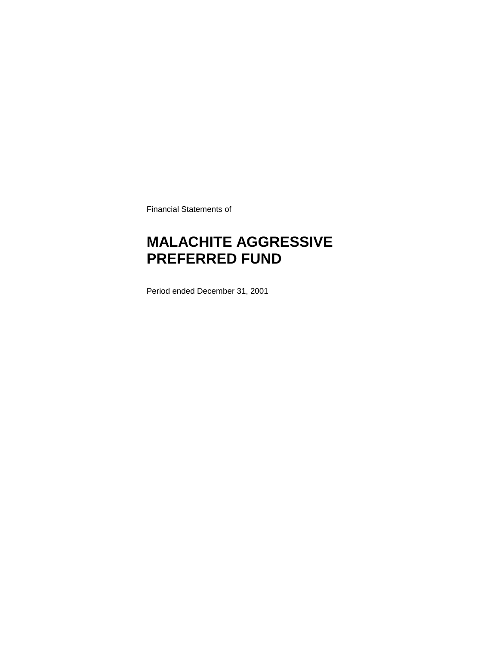Financial Statements of

### **MALACHITE AGGRESSIVE PREFERRED FUND**

Period ended December 31, 2001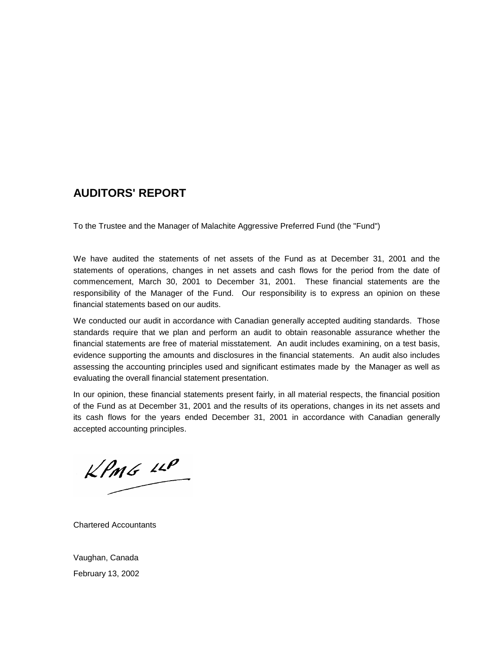### **AUDITORS' REPORT**

To the Trustee and the Manager of Malachite Aggressive Preferred Fund (the "Fund")

We have audited the statements of net assets of the Fund as at December 31, 2001 and the statements of operations, changes in net assets and cash flows for the period from the date of commencement, March 30, 2001 to December 31, 2001. These financial statements are the responsibility of the Manager of the Fund. Our responsibility is to express an opinion on these financial statements based on our audits.

We conducted our audit in accordance with Canadian generally accepted auditing standards. Those standards require that we plan and perform an audit to obtain reasonable assurance whether the financial statements are free of material misstatement. An audit includes examining, on a test basis, evidence supporting the amounts and disclosures in the financial statements. An audit also includes assessing the accounting principles used and significant estimates made by the Manager as well as evaluating the overall financial statement presentation.

In our opinion, these financial statements present fairly, in all material respects, the financial position of the Fund as at December 31, 2001 and the results of its operations, changes in its net assets and its cash flows for the years ended December 31, 2001 in accordance with Canadian generally accepted accounting principles.

 $KPMG$  14P

Chartered Accountants

Vaughan, Canada February 13, 2002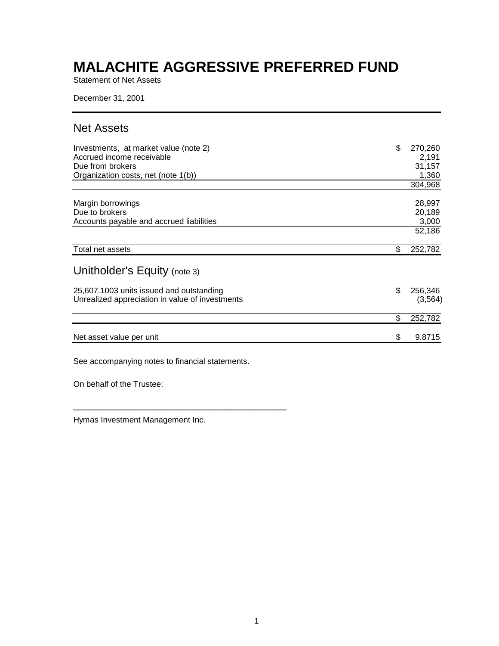Statement of Net Assets

December 31, 2001

### Net Assets

| Investments, at market value (note 2)<br>Accrued income receivable<br>Due from brokers<br>Organization costs, net (note 1(b)) | \$ | 270,260<br>2,191<br>31,157<br>1,360<br>304,968 |
|-------------------------------------------------------------------------------------------------------------------------------|----|------------------------------------------------|
| Margin borrowings<br>Due to brokers<br>Accounts payable and accrued liabilities                                               |    | 28,997<br>20,189<br>3,000<br>52,186            |
| Total net assets                                                                                                              | \$ | 252,782                                        |
| Unitholder's Equity (note 3)<br>25,607.1003 units issued and outstanding                                                      | \$ | 256,346                                        |
| Unrealized appreciation in value of investments                                                                               |    | (3, 564)                                       |
|                                                                                                                               | \$ | 252,782                                        |
| Net asset value per unit                                                                                                      | S  | 9.8715                                         |

See accompanying notes to financial statements.

\_\_\_\_\_\_\_\_\_\_\_\_\_\_\_\_\_\_\_\_\_\_\_\_\_\_\_\_\_\_\_\_\_\_\_\_\_\_\_

On behalf of the Trustee:

Hymas Investment Management Inc.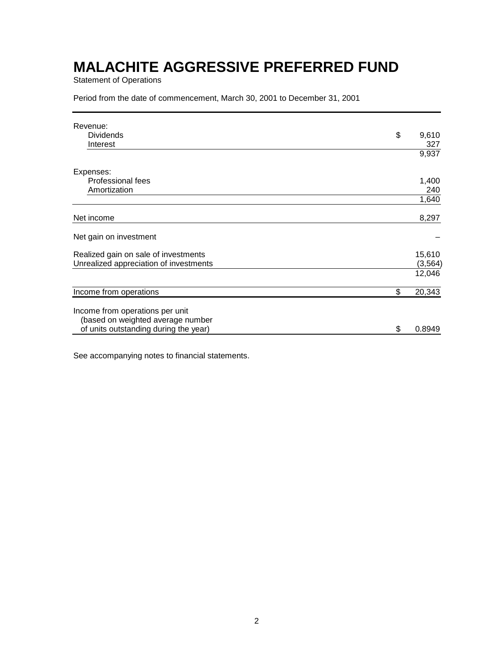Statement of Operations

Period from the date of commencement, March 30, 2001 to December 31, 2001

| Revenue:<br><b>Dividends</b><br>Interest | \$ | 9,610<br>327 |
|------------------------------------------|----|--------------|
|                                          |    | 9,937        |
| Expenses:                                |    |              |
| <b>Professional fees</b>                 |    | 1,400        |
| Amortization                             |    | 240          |
|                                          |    | 1,640        |
| Net income                               |    | 8,297        |
| Net gain on investment                   |    |              |
| Realized gain on sale of investments     |    | 15,610       |
| Unrealized appreciation of investments   |    | (3, 564)     |
|                                          |    | 12,046       |
| Income from operations                   | \$ | 20,343       |
| Income from operations per unit          |    |              |
| (based on weighted average number        |    |              |
| of units outstanding during the year)    | S  | 0.8949       |

See accompanying notes to financial statements.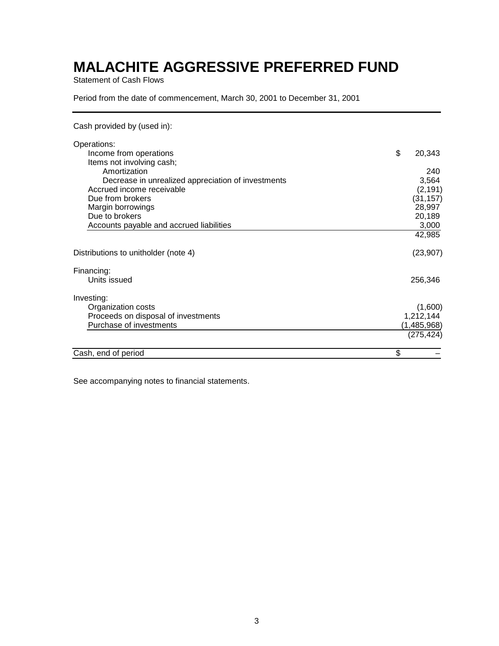Statement of Cash Flows

Period from the date of commencement, March 30, 2001 to December 31, 2001

Cash provided by (used in):

| Operations:                                        |             |           |
|----------------------------------------------------|-------------|-----------|
| Income from operations                             | \$          | 20,343    |
| Items not involving cash;                          |             |           |
| Amortization                                       |             | 240       |
| Decrease in unrealized appreciation of investments |             | 3,564     |
| Accrued income receivable                          |             | (2, 191)  |
| Due from brokers                                   |             | (31, 157) |
| Margin borrowings                                  |             | 28,997    |
| Due to brokers                                     |             | 20,189    |
| Accounts payable and accrued liabilities           |             | 3,000     |
|                                                    |             | 42,985    |
| Distributions to unitholder (note 4)               |             | (23, 907) |
| Financing:                                         |             |           |
| Units issued                                       | 256,346     |           |
| Investing:                                         |             |           |
| Organization costs                                 |             | (1,600)   |
| Proceeds on disposal of investments                | 1,212,144   |           |
| Purchase of investments                            | (1,485,968) |           |
|                                                    | (275, 424)  |           |
| Cash, end of period                                | \$          |           |

See accompanying notes to financial statements.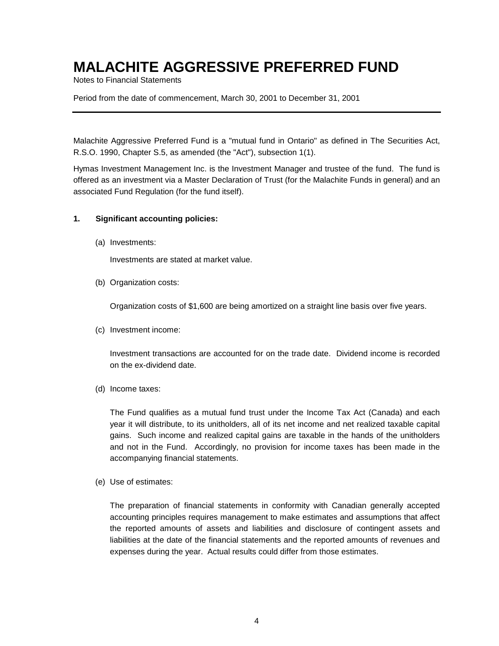Notes to Financial Statements

Period from the date of commencement, March 30, 2001 to December 31, 2001

Malachite Aggressive Preferred Fund is a "mutual fund in Ontario" as defined in The Securities Act, R.S.O. 1990, Chapter S.5, as amended (the "Act"), subsection 1(1).

Hymas Investment Management Inc. is the Investment Manager and trustee of the fund. The fund is offered as an investment via a Master Declaration of Trust (for the Malachite Funds in general) and an associated Fund Regulation (for the fund itself).

#### **1. Significant accounting policies:**

(a) Investments:

Investments are stated at market value.

(b) Organization costs:

Organization costs of \$1,600 are being amortized on a straight line basis over five years.

(c) Investment income:

Investment transactions are accounted for on the trade date. Dividend income is recorded on the ex-dividend date.

(d) Income taxes:

The Fund qualifies as a mutual fund trust under the Income Tax Act (Canada) and each year it will distribute, to its unitholders, all of its net income and net realized taxable capital gains. Such income and realized capital gains are taxable in the hands of the unitholders and not in the Fund. Accordingly, no provision for income taxes has been made in the accompanying financial statements.

(e) Use of estimates:

The preparation of financial statements in conformity with Canadian generally accepted accounting principles requires management to make estimates and assumptions that affect the reported amounts of assets and liabilities and disclosure of contingent assets and liabilities at the date of the financial statements and the reported amounts of revenues and expenses during the year. Actual results could differ from those estimates.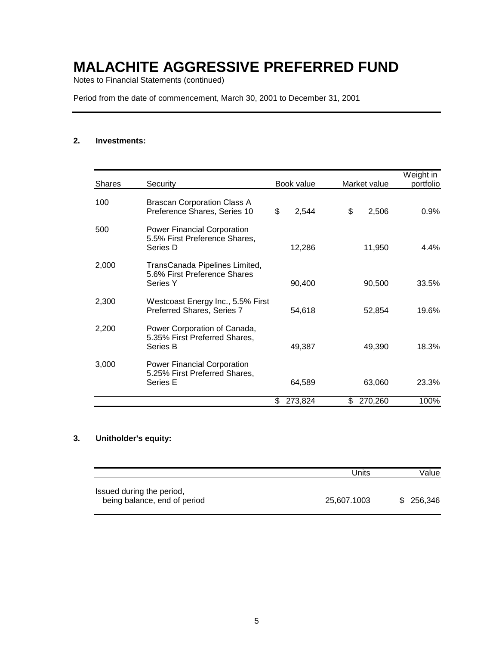Notes to Financial Statements (continued)

Period from the date of commencement, March 30, 2001 to December 31, 2001

#### **2. Investments:**

| <b>Shares</b> | Security                                                                        | Book value    | Market value  | Weight in<br>portfolio |
|---------------|---------------------------------------------------------------------------------|---------------|---------------|------------------------|
| 100           | <b>Brascan Corporation Class A</b><br>Preference Shares, Series 10              | \$<br>2,544   | \$<br>2,506   | 0.9%                   |
| 500           | <b>Power Financial Corporation</b><br>5.5% First Preference Shares,<br>Series D | 12,286        | 11,950        | 4.4%                   |
| 2,000         | TransCanada Pipelines Limited,<br>5.6% First Preference Shares<br>Series Y      | 90,400        | 90,500        | 33.5%                  |
| 2,300         | Westcoast Energy Inc., 5.5% First<br>Preferred Shares, Series 7                 | 54,618        | 52,854        | 19.6%                  |
| 2,200         | Power Corporation of Canada,<br>5.35% First Preferred Shares,<br>Series B       | 49,387        | 49,390        | 18.3%                  |
| 3,000         | <b>Power Financial Corporation</b><br>5.25% First Preferred Shares,<br>Series E | 64,589        | 63,060        | 23.3%                  |
|               |                                                                                 | \$<br>273,824 | \$<br>270,260 | 100%                   |

#### **3. Unitholder's equity:**

|                                                           | Units       | Value      |
|-----------------------------------------------------------|-------------|------------|
| Issued during the period,<br>being balance, end of period | 25.607.1003 | \$ 256,346 |